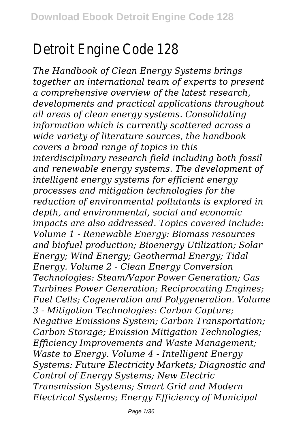## Detroit Engine Code 128

*The Handbook of Clean Energy Systems brings together an international team of experts to present a comprehensive overview of the latest research, developments and practical applications throughout all areas of clean energy systems. Consolidating information which is currently scattered across a wide variety of literature sources, the handbook covers a broad range of topics in this interdisciplinary research field including both fossil and renewable energy systems. The development of intelligent energy systems for efficient energy processes and mitigation technologies for the reduction of environmental pollutants is explored in depth, and environmental, social and economic impacts are also addressed. Topics covered include: Volume 1 - Renewable Energy: Biomass resources and biofuel production; Bioenergy Utilization; Solar Energy; Wind Energy; Geothermal Energy; Tidal Energy. Volume 2 - Clean Energy Conversion Technologies: Steam/Vapor Power Generation; Gas Turbines Power Generation; Reciprocating Engines; Fuel Cells; Cogeneration and Polygeneration. Volume 3 - Mitigation Technologies: Carbon Capture; Negative Emissions System; Carbon Transportation; Carbon Storage; Emission Mitigation Technologies; Efficiency Improvements and Waste Management; Waste to Energy. Volume 4 - Intelligent Energy Systems: Future Electricity Markets; Diagnostic and Control of Energy Systems; New Electric Transmission Systems; Smart Grid and Modern Electrical Systems; Energy Efficiency of Municipal*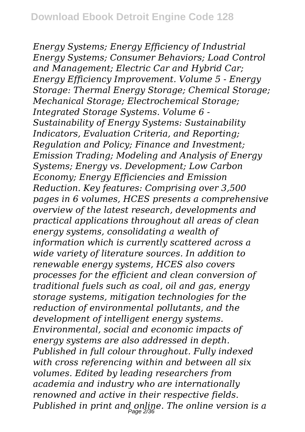*Energy Systems; Energy Efficiency of Industrial Energy Systems; Consumer Behaviors; Load Control and Management; Electric Car and Hybrid Car; Energy Efficiency Improvement. Volume 5 - Energy Storage: Thermal Energy Storage; Chemical Storage; Mechanical Storage; Electrochemical Storage; Integrated Storage Systems. Volume 6 - Sustainability of Energy Systems: Sustainability Indicators, Evaluation Criteria, and Reporting; Regulation and Policy; Finance and Investment; Emission Trading; Modeling and Analysis of Energy Systems; Energy vs. Development; Low Carbon Economy; Energy Efficiencies and Emission Reduction. Key features: Comprising over 3,500 pages in 6 volumes, HCES presents a comprehensive overview of the latest research, developments and practical applications throughout all areas of clean energy systems, consolidating a wealth of information which is currently scattered across a wide variety of literature sources. In addition to renewable energy systems, HCES also covers processes for the efficient and clean conversion of traditional fuels such as coal, oil and gas, energy storage systems, mitigation technologies for the reduction of environmental pollutants, and the development of intelligent energy systems. Environmental, social and economic impacts of energy systems are also addressed in depth. Published in full colour throughout. Fully indexed with cross referencing within and between all six volumes. Edited by leading researchers from academia and industry who are internationally renowned and active in their respective fields. Published in print and online. The online version is a* Page 2/36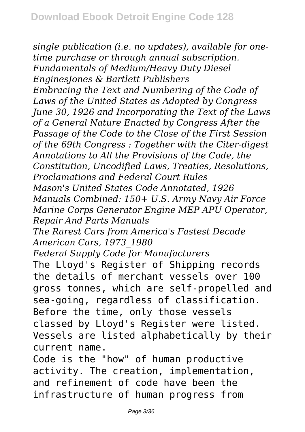*single publication (i.e. no updates), available for onetime purchase or through annual subscription. Fundamentals of Medium/Heavy Duty Diesel EnginesJones & Bartlett Publishers Embracing the Text and Numbering of the Code of Laws of the United States as Adopted by Congress June 30, 1926 and Incorporating the Text of the Laws of a General Nature Enacted by Congress After the Passage of the Code to the Close of the First Session of the 69th Congress : Together with the Citer-digest Annotations to All the Provisions of the Code, the Constitution, Uncodified Laws, Treaties, Resolutions, Proclamations and Federal Court Rules Mason's United States Code Annotated, 1926 Manuals Combined: 150+ U.S. Army Navy Air Force Marine Corps Generator Engine MEP APU Operator, Repair And Parts Manuals The Rarest Cars from America's Fastest Decade American Cars, 1973\_1980 Federal Supply Code for Manufacturers* The Lloyd's Register of Shipping records the details of merchant vessels over 100 gross tonnes, which are self-propelled and sea-going, regardless of classification. Before the time, only those vessels classed by Lloyd's Register were listed. Vessels are listed alphabetically by their current name. Code is the "how" of human productive activity. The creation, implementation, and refinement of code have been the infrastructure of human progress from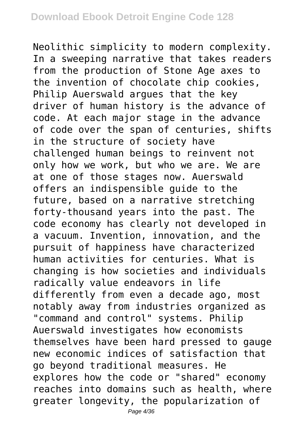Neolithic simplicity to modern complexity. In a sweeping narrative that takes readers from the production of Stone Age axes to the invention of chocolate chip cookies, Philip Auerswald argues that the key driver of human history is the advance of code. At each major stage in the advance of code over the span of centuries, shifts in the structure of society have challenged human beings to reinvent not only how we work, but who we are. We are at one of those stages now. Auerswald offers an indispensible guide to the future, based on a narrative stretching forty-thousand years into the past. The code economy has clearly not developed in a vacuum. Invention, innovation, and the pursuit of happiness have characterized human activities for centuries. What is changing is how societies and individuals radically value endeavors in life differently from even a decade ago, most notably away from industries organized as "command and control" systems. Philip Auerswald investigates how economists themselves have been hard pressed to gauge new economic indices of satisfaction that go beyond traditional measures. He explores how the code or "shared" economy reaches into domains such as health, where greater longevity, the popularization of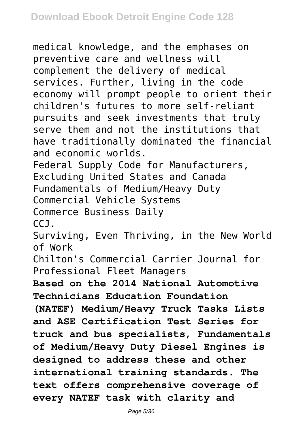medical knowledge, and the emphases on preventive care and wellness will complement the delivery of medical services. Further, living in the code economy will prompt people to orient their children's futures to more self-reliant pursuits and seek investments that truly serve them and not the institutions that have traditionally dominated the financial and economic worlds. Federal Supply Code for Manufacturers, Excluding United States and Canada Fundamentals of Medium/Heavy Duty Commercial Vehicle Systems Commerce Business Daily CCJ. Surviving, Even Thriving, in the New World of Work Chilton's Commercial Carrier Journal for Professional Fleet Managers **Based on the 2014 National Automotive Technicians Education Foundation (NATEF) Medium/Heavy Truck Tasks Lists and ASE Certification Test Series for truck and bus specialists, Fundamentals of Medium/Heavy Duty Diesel Engines is designed to address these and other international training standards. The text offers comprehensive coverage of every NATEF task with clarity and**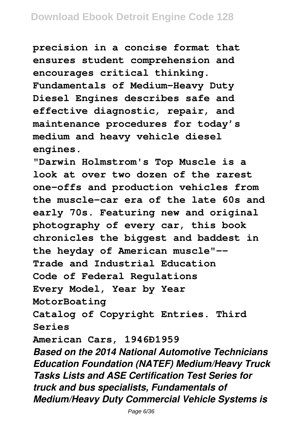**precision in a concise format that ensures student comprehension and encourages critical thinking. Fundamentals of Medium-Heavy Duty Diesel Engines describes safe and effective diagnostic, repair, and maintenance procedures for today's medium and heavy vehicle diesel engines.**

**"Darwin Holmstrom's Top Muscle is a look at over two dozen of the rarest one-offs and production vehicles from the muscle-car era of the late 60s and early 70s. Featuring new and original photography of every car, this book chronicles the biggest and baddest in the heyday of American muscle"-- Trade and Industrial Education Code of Federal Regulations Every Model, Year by Year MotorBoating Catalog of Copyright Entries. Third Series American Cars, 1946Ð1959** *Based on the 2014 National Automotive Technicians Education Foundation (NATEF) Medium/Heavy Truck Tasks Lists and ASE Certification Test Series for truck and bus specialists, Fundamentals of Medium/Heavy Duty Commercial Vehicle Systems is*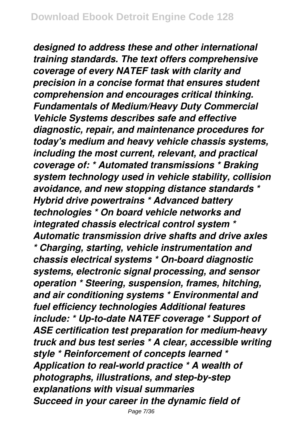*designed to address these and other international training standards. The text offers comprehensive coverage of every NATEF task with clarity and precision in a concise format that ensures student comprehension and encourages critical thinking. Fundamentals of Medium/Heavy Duty Commercial Vehicle Systems describes safe and effective diagnostic, repair, and maintenance procedures for today's medium and heavy vehicle chassis systems, including the most current, relevant, and practical coverage of: \* Automated transmissions \* Braking system technology used in vehicle stability, collision avoidance, and new stopping distance standards \* Hybrid drive powertrains \* Advanced battery technologies \* On board vehicle networks and integrated chassis electrical control system \* Automatic transmission drive shafts and drive axles \* Charging, starting, vehicle instrumentation and chassis electrical systems \* On-board diagnostic systems, electronic signal processing, and sensor operation \* Steering, suspension, frames, hitching, and air conditioning systems \* Environmental and fuel efficiency technologies Additional features include: \* Up-to-date NATEF coverage \* Support of ASE certification test preparation for medium-heavy truck and bus test series \* A clear, accessible writing style \* Reinforcement of concepts learned \* Application to real-world practice \* A wealth of photographs, illustrations, and step-by-step explanations with visual summaries Succeed in your career in the dynamic field of*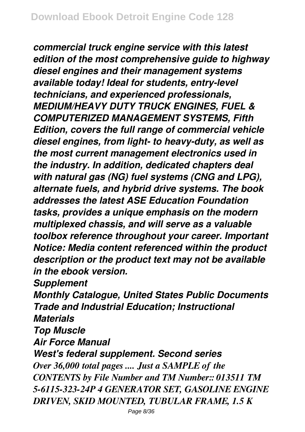*commercial truck engine service with this latest edition of the most comprehensive guide to highway diesel engines and their management systems available today! Ideal for students, entry-level technicians, and experienced professionals, MEDIUM/HEAVY DUTY TRUCK ENGINES, FUEL & COMPUTERIZED MANAGEMENT SYSTEMS, Fifth Edition, covers the full range of commercial vehicle diesel engines, from light- to heavy-duty, as well as the most current management electronics used in the industry. In addition, dedicated chapters deal with natural gas (NG) fuel systems (CNG and LPG), alternate fuels, and hybrid drive systems. The book addresses the latest ASE Education Foundation tasks, provides a unique emphasis on the modern multiplexed chassis, and will serve as a valuable toolbox reference throughout your career. Important Notice: Media content referenced within the product description or the product text may not be available in the ebook version.*

*Supplement*

*Monthly Catalogue, United States Public Documents Trade and Industrial Education; Instructional Materials*

*Top Muscle*

*Air Force Manual*

*West's federal supplement. Second series Over 36,000 total pages .... Just a SAMPLE of the CONTENTS by File Number and TM Number:: 013511 TM 5-6115-323-24P 4 GENERATOR SET, GASOLINE ENGINE DRIVEN, SKID MOUNTED, TUBULAR FRAME, 1.5 K*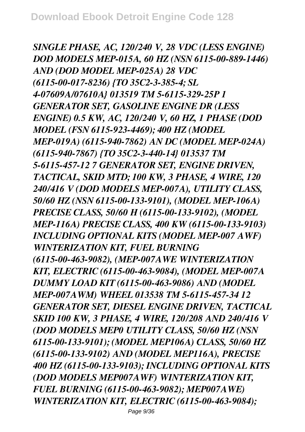*SINGLE PHASE, AC, 120/240 V, 28 VDC (LESS ENGINE) DOD MODELS MEP-015A, 60 HZ (NSN 6115-00-889-1446) AND (DOD MODEL MEP-025A) 28 VDC (6115-00-017-8236) {TO 35C2-3-385-4; SL 4-07609A/07610A} 013519 TM 5-6115-329-25P 1 GENERATOR SET, GASOLINE ENGINE DR (LESS ENGINE) 0.5 KW, AC, 120/240 V, 60 HZ, 1 PHASE (DOD MODEL (FSN 6115-923-4469); 400 HZ (MODEL MEP-019A) (6115-940-7862) AN DC (MODEL MEP-024A) (6115-940-7867) {TO 35C2-3-440-14} 013537 TM 5-6115-457-12 7 GENERATOR SET, ENGINE DRIVEN, TACTICAL, SKID MTD; 100 KW, 3 PHASE, 4 WIRE, 120 240/416 V (DOD MODELS MEP-007A), UTILITY CLASS, 50/60 HZ (NSN 6115-00-133-9101), (MODEL MEP-106A) PRECISE CLASS, 50/60 H (6115-00-133-9102), (MODEL MEP-116A) PRECISE CLASS, 400 KW (6115-00-133-9103) INCLUDING OPTIONAL KITS (MODEL MEP-007 AWF) WINTERIZATION KIT, FUEL BURNING (6115-00-463-9082), (MEP-007AWE WINTERIZATION KIT, ELECTRIC (6115-00-463-9084), (MODEL MEP-007A DUMMY LOAD KIT (6115-00-463-9086) AND (MODEL MEP-007AWM) WHEEL 013538 TM 5-6115-457-34 12 GENERATOR SET, DIESEL ENGINE DRIVEN, TACTICAL SKID 100 KW, 3 PHASE, 4 WIRE, 120/208 AND 240/416 V (DOD MODELS MEP0 UTILITY CLASS, 50/60 HZ (NSN 6115-00-133-9101); (MODEL MEP106A) CLASS, 50/60 HZ (6115-00-133-9102) AND (MODEL MEP116A), PRECISE 400 HZ (6115-00-133-9103); INCLUDING OPTIONAL KITS (DOD MODELS MEP007AWF) WINTERIZATION KIT, FUEL BURNING (6115-00-463-9082); MEP007AWE) WINTERIZATION KIT, ELECTRIC (6115-00-463-9084);*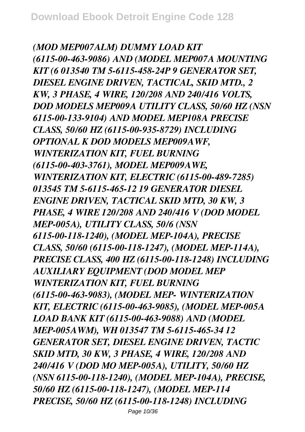*(MOD MEP007ALM) DUMMY LOAD KIT (6115-00-463-9086) AND (MODEL MEP007A MOUNTING KIT (6 013540 TM 5-6115-458-24P 9 GENERATOR SET, DIESEL ENGINE DRIVEN, TACTICAL, SKID MTD., 2 KW, 3 PHASE, 4 WIRE, 120/208 AND 240/416 VOLTS, DOD MODELS MEP009A UTILITY CLASS, 50/60 HZ (NSN 6115-00-133-9104) AND MODEL MEP108A PRECISE CLASS, 50/60 HZ (6115-00-935-8729) INCLUDING OPTIONAL K DOD MODELS MEP009AWF, WINTERIZATION KIT, FUEL BURNING (6115-00-403-3761), MODEL MEP009AWE, WINTERIZATION KIT, ELECTRIC (6115-00-489-7285) 013545 TM 5-6115-465-12 19 GENERATOR DIESEL ENGINE DRIVEN, TACTICAL SKID MTD, 30 KW, 3 PHASE, 4 WIRE 120/208 AND 240/416 V (DOD MODEL MEP-005A), UTILITY CLASS, 50/6 (NSN 6115-00-118-1240), (MODEL MEP-104A), PRECISE CLASS, 50/60 (6115-00-118-1247), (MODEL MEP-114A), PRECISE CLASS, 400 HZ (6115-00-118-1248) INCLUDING AUXILIARY EQUIPMENT (DOD MODEL MEP WINTERIZATION KIT, FUEL BURNING (6115-00-463-9083), (MODEL MEP- WINTERIZATION KIT, ELECTRIC (6115-00-463-9085), (MODEL MEP-005A LOAD BANK KIT (6115-00-463-9088) AND (MODEL MEP-005AWM), WH 013547 TM 5-6115-465-34 12 GENERATOR SET, DIESEL ENGINE DRIVEN, TACTIC SKID MTD, 30 KW, 3 PHASE, 4 WIRE, 120/208 AND 240/416 V (DOD MO MEP-005A), UTILITY, 50/60 HZ (NSN 6115-00-118-1240), (MODEL MEP-104A), PRECISE, 50/60 HZ (6115-00-118-1247), (MODEL MEP-114 PRECISE, 50/60 HZ (6115-00-118-1248) INCLUDING*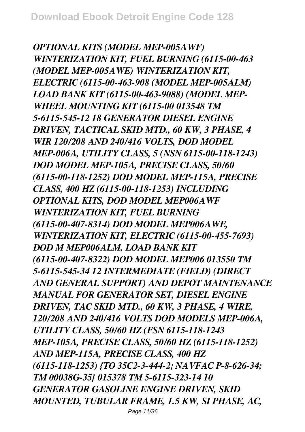*OPTIONAL KITS (MODEL MEP-005AWF) WINTERIZATION KIT, FUEL BURNING (6115-00-463 (MODEL MEP-005AWE) WINTERIZATION KIT, ELECTRIC (6115-00-463-908 (MODEL MEP-005ALM) LOAD BANK KIT (6115-00-463-9088) (MODEL MEP-WHEEL MOUNTING KIT (6115-00 013548 TM 5-6115-545-12 18 GENERATOR DIESEL ENGINE DRIVEN, TACTICAL SKID MTD., 60 KW, 3 PHASE, 4 WIR 120/208 AND 240/416 VOLTS, DOD MODEL MEP-006A, UTILITY CLASS, 5 (NSN 6115-00-118-1243) DOD MODEL MEP-105A, PRECISE CLASS, 50/60 (6115-00-118-1252) DOD MODEL MEP-115A, PRECISE CLASS, 400 HZ (6115-00-118-1253) INCLUDING OPTIONAL KITS, DOD MODEL MEP006AWF WINTERIZATION KIT, FUEL BURNING (6115-00-407-8314) DOD MODEL MEP006AWE, WINTERIZATION KIT, ELECTRIC (6115-00-455-7693) DOD M MEP006ALM, LOAD BANK KIT (6115-00-407-8322) DOD MODEL MEP006 013550 TM 5-6115-545-34 12 INTERMEDIATE (FIELD) (DIRECT AND GENERAL SUPPORT) AND DEPOT MAINTENANCE MANUAL FOR GENERATOR SET, DIESEL ENGINE DRIVEN, TAC SKID MTD., 60 KW, 3 PHASE, 4 WIRE, 120/208 AND 240/416 VOLTS DOD MODELS MEP-006A, UTILITY CLASS, 50/60 HZ (FSN 6115-118-1243 MEP-105A, PRECISE CLASS, 50/60 HZ (6115-118-1252) AND MEP-115A, PRECISE CLASS, 400 HZ (6115-118-1253) {TO 35C2-3-444-2; NAVFAC P-8-626-34; TM 00038G-35} 015378 TM 5-6115-323-14 10 GENERATOR GASOLINE ENGINE DRIVEN, SKID MOUNTED, TUBULAR FRAME, 1.5 KW, SI PHASE, AC,*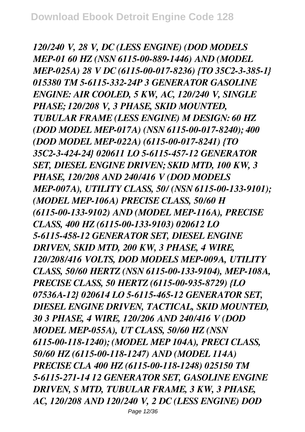*120/240 V, 28 V, DC (LESS ENGINE) (DOD MODELS MEP-01 60 HZ (NSN 6115-00-889-1446) AND (MODEL MEP-025A) 28 V DC (6115-00-017-8236) {TO 35C2-3-385-1} 015380 TM 5-6115-332-24P 3 GENERATOR GASOLINE ENGINE: AIR COOLED, 5 KW, AC, 120/240 V, SINGLE PHASE; 120/208 V, 3 PHASE, SKID MOUNTED, TUBULAR FRAME (LESS ENGINE) M DESIGN: 60 HZ (DOD MODEL MEP-017A) (NSN 6115-00-017-8240); 400 (DOD MODEL MEP-022A) (6115-00-017-8241) {TO 35C2-3-424-24} 020611 LO 5-6115-457-12 GENERATOR SET, DIESEL ENGINE DRIVEN; SKID MTD, 100 KW, 3 PHASE, 120/208 AND 240/416 V (DOD MODELS MEP-007A), UTILITY CLASS, 50/ (NSN 6115-00-133-9101); (MODEL MEP-106A) PRECISE CLASS, 50/60 H (6115-00-133-9102) AND (MODEL MEP-116A), PRECISE CLASS, 400 HZ (6115-00-133-9103) 020612 LO 5-6115-458-12 GENERATOR SET, DIESEL ENGINE DRIVEN, SKID MTD, 200 KW, 3 PHASE, 4 WIRE, 120/208/416 VOLTS, DOD MODELS MEP-009A, UTILITY CLASS, 50/60 HERTZ (NSN 6115-00-133-9104), MEP-108A, PRECISE CLASS, 50 HERTZ (6115-00-935-8729) {LO 07536A-12} 020614 LO 5-6115-465-12 GENERATOR SET, DIESEL ENGINE DRIVEN, TACTICAL, SKID MOUNTED, 30 3 PHASE, 4 WIRE, 120/206 AND 240/416 V (DOD MODEL MEP-055A), UT CLASS, 50/60 HZ (NSN 6115-00-118-1240); (MODEL MEP 104A), PRECI CLASS, 50/60 HZ (6115-00-118-1247) AND (MODEL 114A) PRECISE CLA 400 HZ (6115-00-118-1248) 025150 TM 5-6115-271-14 12 GENERATOR SET, GASOLINE ENGINE DRIVEN, S MTD, TUBULAR FRAME, 3 KW, 3 PHASE, AC, 120/208 AND 120/240 V, 2 DC (LESS ENGINE) DOD*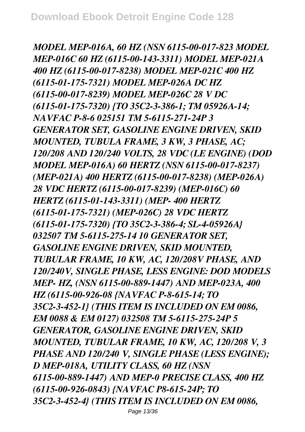*MODEL MEP-016A, 60 HZ (NSN 6115-00-017-823 MODEL MEP-016C 60 HZ (6115-00-143-3311) MODEL MEP-021A 400 HZ (6115-00-017-8238) MODEL MEP-021C 400 HZ (6115-01-175-7321) MODEL MEP-026A DC HZ (6115-00-017-8239) MODEL MEP-026C 28 V DC (6115-01-175-7320) {TO 35C2-3-386-1; TM 05926A-14; NAVFAC P-8-6 025151 TM 5-6115-271-24P 3 GENERATOR SET, GASOLINE ENGINE DRIVEN, SKID MOUNTED, TUBULA FRAME, 3 KW, 3 PHASE, AC; 120/208 AND 120/240 VOLTS, 28 VDC (LE ENGINE) (DOD MODEL MEP-016A) 60 HERTZ (NSN 6115-00-017-8237) (MEP-021A) 400 HERTZ (6115-00-017-8238) (MEP-026A) 28 VDC HERTZ (6115-00-017-8239) (MEP-016C) 60 HERTZ (6115-01-143-3311) (MEP- 400 HERTZ (6115-01-175-7321) (MEP-026C) 28 VDC HERTZ (6115-01-175-7320) {TO 35C2-3-386-4; SL-4-05926A} 032507 TM 5-6115-275-14 10 GENERATOR SET, GASOLINE ENGINE DRIVEN, SKID MOUNTED, TUBULAR FRAME, 10 KW, AC, 120/208V PHASE, AND 120/240V, SINGLE PHASE, LESS ENGINE: DOD MODELS MEP- HZ, (NSN 6115-00-889-1447) AND MEP-023A, 400 HZ (6115-00-926-08 {NAVFAC P-8-615-14; TO 35C2-3-452-1} (THIS ITEM IS INCLUDED ON EM 0086, EM 0088 & EM 0127) 032508 TM 5-6115-275-24P 5 GENERATOR, GASOLINE ENGINE DRIVEN, SKID MOUNTED, TUBULAR FRAME, 10 KW, AC, 120/208 V, 3 PHASE AND 120/240 V, SINGLE PHASE (LESS ENGINE); D MEP-018A, UTILITY CLASS, 60 HZ (NSN 6115-00-889-1447) AND MEP-0 PRECISE CLASS, 400 HZ (6115-00-926-0843) {NAVFAC P8-615-24P; TO 35C2-3-452-4} (THIS ITEM IS INCLUDED ON EM 0086,*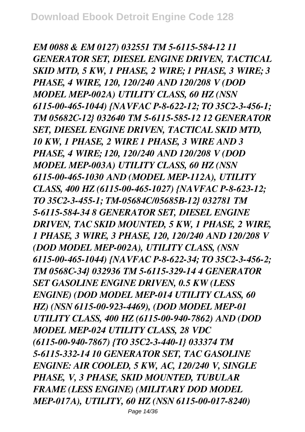*EM 0088 & EM 0127) 032551 TM 5-6115-584-12 11 GENERATOR SET, DIESEL ENGINE DRIVEN, TACTICAL SKID MTD, 5 KW, 1 PHASE, 2 WIRE; 1 PHASE, 3 WIRE; 3 PHASE, 4 WIRE, 120, 120/240 AND 120/208 V (DOD MODEL MEP-002A) UTILITY CLASS, 60 HZ (NSN 6115-00-465-1044) {NAVFAC P-8-622-12; TO 35C2-3-456-1; TM 05682C-12} 032640 TM 5-6115-585-12 12 GENERATOR SET, DIESEL ENGINE DRIVEN, TACTICAL SKID MTD, 10 KW, 1 PHASE, 2 WIRE 1 PHASE, 3 WIRE AND 3 PHASE, 4 WIRE; 120, 120/240 AND 120/208 V (DOD MODEL MEP-003A) UTILITY CLASS, 60 HZ (NSN 6115-00-465-1030 AND (MODEL MEP-112A), UTILITY CLASS, 400 HZ (6115-00-465-1027) {NAVFAC P-8-623-12; TO 35C2-3-455-1; TM-05684C/05685B-12} 032781 TM 5-6115-584-34 8 GENERATOR SET, DIESEL ENGINE DRIVEN, TAC SKID MOUNTED, 5 KW, 1 PHASE, 2 WIRE, 1 PHASE, 3 WIRE, 3 PHASE, 120, 120/240 AND 120/208 V (DOD MODEL MEP-002A), UTILITY CLASS, (NSN 6115-00-465-1044) {NAVFAC P-8-622-34; TO 35C2-3-456-2; TM 0568C-34} 032936 TM 5-6115-329-14 4 GENERATOR SET GASOLINE ENGINE DRIVEN, 0.5 KW (LESS ENGINE) (DOD MODEL MEP-014 UTILITY CLASS, 60 HZ) (NSN 6115-00-923-4469), (DOD MODEL MEP-01 UTILITY CLASS, 400 HZ (6115-00-940-7862) AND (DOD MODEL MEP-024 UTILITY CLASS, 28 VDC (6115-00-940-7867) {TO 35C2-3-440-1} 033374 TM 5-6115-332-14 10 GENERATOR SET, TAC GASOLINE ENGINE: AIR COOLED, 5 KW, AC, 120/240 V, SINGLE PHASE, V, 3 PHASE, SKID MOUNTED, TUBULAR FRAME (LESS ENGINE) (MILITARY DOD MODEL MEP-017A), UTILITY, 60 HZ (NSN 6115-00-017-8240)*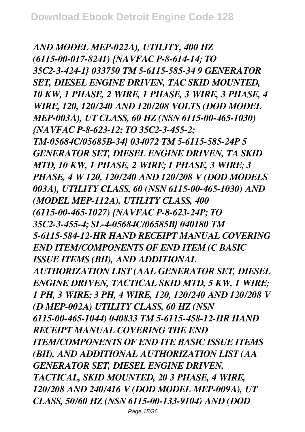*AND MODEL MEP-022A), UTILITY, 400 HZ (6115-00-017-8241) {NAVFAC P-8-614-14; TO 35C2-3-424-1} 033750 TM 5-6115-585-34 9 GENERATOR SET, DIESEL ENGINE DRIVEN, TAC SKID MOUNTED, 10 KW, 1 PHASE, 2 WIRE, 1 PHASE, 3 WIRE, 3 PHASE, 4 WIRE, 120, 120/240 AND 120/208 VOLTS (DOD MODEL MEP-003A), UT CLASS, 60 HZ (NSN 6115-00-465-1030) {NAVFAC P-8-623-12; TO 35C2-3-455-2; TM-05684C/05685B-34} 034072 TM 5-6115-585-24P 5 GENERATOR SET, DIESEL ENGINE DRIVEN, TA SKID MTD, 10 KW, 1 PHASE, 2 WIRE; 1 PHASE, 3 WIRE; 3 PHASE, 4 W 120, 120/240 AND 120/208 V (DOD MODELS 003A), UTILITY CLASS, 60 (NSN 6115-00-465-1030) AND (MODEL MEP-112A), UTILITY CLASS, 400 (6115-00-465-1027) {NAVFAC P-8-623-24P; TO 35C2-3-455-4; SL-4-05684C/06585B} 040180 TM 5-6115-584-12-HR HAND RECEIPT MANUAL COVERING END ITEM/COMPONENTS OF END ITEM (C BASIC ISSUE ITEMS (BII), AND ADDITIONAL AUTHORIZATION LIST (AAL GENERATOR SET, DIESEL ENGINE DRIVEN, TACTICAL SKID MTD, 5 KW, 1 WIRE; 1 PH, 3 WIRE; 3 PH, 4 WIRE, 120, 120/240 AND 120/208 V (D MEP-002A) UTILITY CLASS, 60 HZ (NSN 6115-00-465-1044) 040833 TM 5-6115-458-12-HR HAND RECEIPT MANUAL COVERING THE END ITEM/COMPONENTS OF END ITE BASIC ISSUE ITEMS (BII), AND ADDITIONAL AUTHORIZATION LIST (AA GENERATOR SET, DIESEL ENGINE DRIVEN, TACTICAL, SKID MOUNTED, 20 3 PHASE, 4 WIRE, 120/208 AND 240/416 V (DOD MODEL MEP-009A), UT CLASS, 50/60 HZ (NSN 6115-00-133-9104) AND (DOD*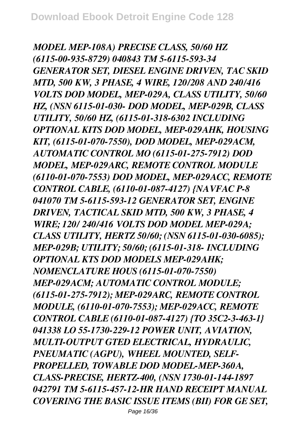*MODEL MEP-108A) PRECISE CLASS, 50/60 HZ (6115-00-935-8729) 040843 TM 5-6115-593-34 GENERATOR SET, DIESEL ENGINE DRIVEN, TAC SKID MTD, 500 KW, 3 PHASE, 4 WIRE, 120/208 AND 240/416 VOLTS DOD MODEL, MEP-029A, CLASS UTILITY, 50/60 HZ, (NSN 6115-01-030- DOD MODEL, MEP-029B, CLASS UTILITY, 50/60 HZ, (6115-01-318-6302 INCLUDING OPTIONAL KITS DOD MODEL, MEP-029AHK, HOUSING KIT, (6115-01-070-7550), DOD MODEL, MEP-029ACM, AUTOMATIC CONTROL MO (6115-01-275-7912) DOD MODEL, MEP-029ARC, REMOTE CONTROL MODULE (6110-01-070-7553) DOD MODEL, MEP-029ACC, REMOTE CONTROL CABLE, (6110-01-087-4127) {NAVFAC P-8 041070 TM 5-6115-593-12 GENERATOR SET, ENGINE DRIVEN, TACTICAL SKID MTD, 500 KW, 3 PHASE, 4 WIRE; 120/ 240/416 VOLTS DOD MODEL MEP-029A; CLASS UTILITY, HERTZ 50/60; (NSN 6115-01-030-6085); MEP-029B; UTILITY; 50/60; (6115-01-318- INCLUDING OPTIONAL KTS DOD MODELS MEP-029AHK; NOMENCLATURE HOUS (6115-01-070-7550) MEP-029ACM; AUTOMATIC CONTROL MODULE; (6115-01-275-7912); MEP-029ARC, REMOTE CONTROL MODULE, (6110-01-070-7553); MEP-029ACC, REMOTE CONTROL CABLE (6110-01-087-4127) {TO 35C2-3-463-1} 041338 LO 55-1730-229-12 POWER UNIT, AVIATION, MULTI-OUTPUT GTED ELECTRICAL, HYDRAULIC, PNEUMATIC (AGPU), WHEEL MOUNTED, SELF-PROPELLED, TOWABLE DOD MODEL-MEP-360A, CLASS-PRECISE, HERTZ-400, (NSN 1730-01-144-1897 042791 TM 5-6115-457-12-HR HAND RECEIPT MANUAL COVERING THE BASIC ISSUE ITEMS (BII) FOR GE SET,*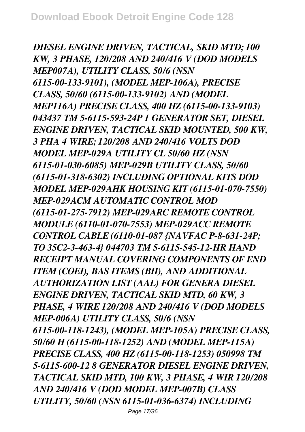*DIESEL ENGINE DRIVEN, TACTICAL, SKID MTD; 100 KW, 3 PHASE, 120/208 AND 240/416 V (DOD MODELS MEP007A), UTILITY CLASS, 50/6 (NSN 6115-00-133-9101), (MODEL MEP-106A), PRECISE CLASS, 50/60 (6115-00-133-9102) AND (MODEL MEP116A) PRECISE CLASS, 400 HZ (6115-00-133-9103) 043437 TM 5-6115-593-24P 1 GENERATOR SET, DIESEL ENGINE DRIVEN, TACTICAL SKID MOUNTED, 500 KW, 3 PHA 4 WIRE; 120/208 AND 240/416 VOLTS DOD MODEL MEP-029A UTILITY CL 50/60 HZ (NSN 6115-01-030-6085) MEP-029B UTILITY CLASS, 50/60 (6115-01-318-6302) INCLUDING OPTIONAL KITS DOD MODEL MEP-029AHK HOUSING KIT (6115-01-070-7550) MEP-029ACM AUTOMATIC CONTROL MOD (6115-01-275-7912) MEP-029ARC REMOTE CONTROL MODULE (6110-01-070-7553) MEP-029ACC REMOTE CONTROL CABLE (6110-01-087 {NAVFAC P-8-631-24P; TO 35C2-3-463-4} 044703 TM 5-6115-545-12-HR HAND RECEIPT MANUAL COVERING COMPONENTS OF END ITEM (COEI), BAS ITEMS (BII), AND ADDITIONAL AUTHORIZATION LIST (AAL) FOR GENERA DIESEL ENGINE DRIVEN, TACTICAL SKID MTD, 60 KW, 3 PHASE, 4 WIRE 120/208 AND 240/416 V (DOD MODELS MEP-006A) UTILITY CLASS, 50/6 (NSN 6115-00-118-1243), (MODEL MEP-105A) PRECISE CLASS, 50/60 H (6115-00-118-1252) AND (MODEL MEP-115A) PRECISE CLASS, 400 HZ (6115-00-118-1253) 050998 TM 5-6115-600-12 8 GENERATOR DIESEL ENGINE DRIVEN, TACTICAL SKID MTD, 100 KW, 3 PHASE, 4 WIR 120/208 AND 240/416 V (DOD MODEL MEP-007B) CLASS UTILITY, 50/60 (NSN 6115-01-036-6374) INCLUDING*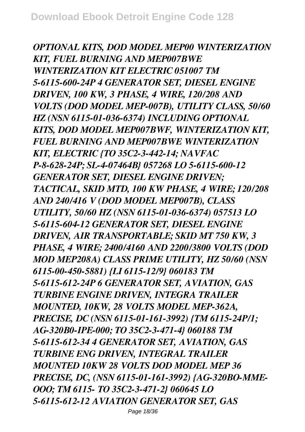*OPTIONAL KITS, DOD MODEL MEP00 WINTERIZATION KIT, FUEL BURNING AND MEP007BWE WINTERIZATION KIT ELECTRIC 051007 TM 5-6115-600-24P 4 GENERATOR SET, DIESEL ENGINE DRIVEN, 100 KW, 3 PHASE, 4 WIRE, 120/208 AND VOLTS (DOD MODEL MEP-007B), UTILITY CLASS, 50/60 HZ (NSN 6115-01-036-6374) INCLUDING OPTIONAL KITS, DOD MODEL MEP007BWF, WINTERIZATION KIT, FUEL BURNING AND MEP007BWE WINTERIZATION KIT, ELECTRIC {TO 35C2-3-442-14; NAVFAC P-8-628-24P; SL-4-07464B} 057268 LO 5-6115-600-12 GENERATOR SET, DIESEL ENGINE DRIVEN; TACTICAL, SKID MTD, 100 KW PHASE, 4 WIRE; 120/208 AND 240/416 V (DOD MODEL MEP007B), CLASS UTILITY, 50/60 HZ (NSN 6115-01-036-6374) 057513 LO 5-6115-604-12 GENERATOR SET, DIESEL ENGINE DRIVEN, AIR TRANSPORTABLE; SKID MT 750 KW, 3 PHASE, 4 WIRE; 2400/4160 AND 2200/3800 VOLTS (DOD MOD MEP208A) CLASS PRIME UTILITY, HZ 50/60 (NSN 6115-00-450-5881) {LI 6115-12/9} 060183 TM 5-6115-612-24P 6 GENERATOR SET, AVIATION, GAS TURBINE ENGINE DRIVEN, INTEGRA TRAILER MOUNTED, 10KW, 28 VOLTS MODEL MEP-362A, PRECISE, DC (NSN 6115-01-161-3992) {TM 6115-24P/1; AG-320B0-IPE-000; TO 35C2-3-471-4} 060188 TM 5-6115-612-34 4 GENERATOR SET, AVIATION, GAS TURBINE ENG DRIVEN, INTEGRAL TRAILER MOUNTED 10KW 28 VOLTS DOD MODEL MEP 36 PRECISE, DC, (NSN 6115-01-161-3992) {AG-320BO-MME-OOO; TM 6115- TO 35C2-3-471-2} 060645 LO 5-6115-612-12 AVIATION GENERATOR SET, GAS*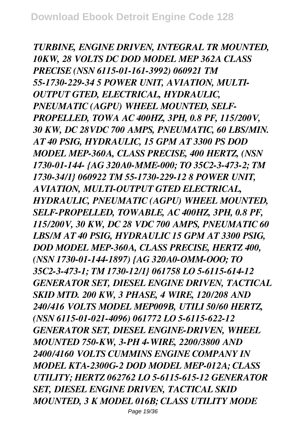*TURBINE, ENGINE DRIVEN, INTEGRAL TR MOUNTED, 10KW, 28 VOLTS DC DOD MODEL MEP 362A CLASS PRECISE (NSN 6115-01-161-3992) 060921 TM 55-1730-229-34 5 POWER UNIT, AVIATION, MULTI-OUTPUT GTED, ELECTRICAL, HYDRAULIC, PNEUMATIC (AGPU) WHEEL MOUNTED, SELF-PROPELLED, TOWA AC 400HZ, 3PH, 0.8 PF, 115/200V, 30 KW, DC 28VDC 700 AMPS, PNEUMATIC, 60 LBS/MIN. AT 40 PSIG, HYDRAULIC, 15 GPM AT 3300 PS DOD MODEL MEP-360A, CLASS PRECISE, 400 HERTZ, (NSN 1730-01-144- {AG 320A0-MME-000; TO 35C2-3-473-2; TM 1730-34/1} 060922 TM 55-1730-229-12 8 POWER UNIT, AVIATION, MULTI-OUTPUT GTED ELECTRICAL, HYDRAULIC, PNEUMATIC (AGPU) WHEEL MOUNTED, SELF-PROPELLED, TOWABLE, AC 400HZ, 3PH, 0.8 PF, 115/200V, 30 KW, DC 28 VDC 700 AMPS, PNEUMATIC 60 LBS/M AT 40 PSIG, HYDRAULIC 15 GPM AT 3300 PSIG, DOD MODEL MEP-360A, CLASS PRECISE, HERTZ 400, (NSN 1730-01-144-1897) {AG 320A0-OMM-OOO; TO 35C2-3-473-1; TM 1730-12/1} 061758 LO 5-6115-614-12 GENERATOR SET, DIESEL ENGINE DRIVEN, TACTICAL SKID MTD. 200 KW, 3 PHASE, 4 WIRE, 120/208 AND 240/416 VOLTS MODEL MEP009B, UTILI 50/60 HERTZ, (NSN 6115-01-021-4096) 061772 LO 5-6115-622-12 GENERATOR SET, DIESEL ENGINE-DRIVEN, WHEEL MOUNTED 750-KW, 3-PH 4-WIRE, 2200/3800 AND 2400/4160 VOLTS CUMMINS ENGINE COMPANY IN MODEL KTA-2300G-2 DOD MODEL MEP-012A; CLASS UTILITY; HERTZ 062762 LO 5-6115-615-12 GENERATOR SET, DIESEL ENGINE DRIVEN, TACTICAL SKID MOUNTED, 3 K MODEL 016B; CLASS UTILITY MODE*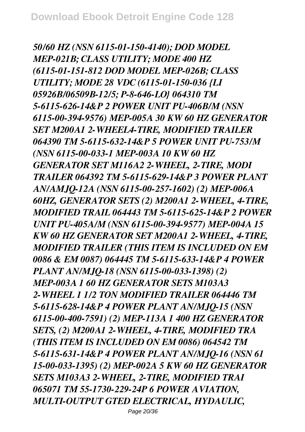*50/60 HZ (NSN 6115-01-150-4140); DOD MODEL MEP-021B; CLASS UTILITY; MODE 400 HZ (6115-01-151-812 DOD MODEL MEP-026B; CLASS UTILITY; MODE 28 VDC (6115-01-150-036 {LI 05926B/06509B-12/5; P-8-646-LO} 064310 TM 5-6115-626-14&P 2 POWER UNIT PU-406B/M (NSN 6115-00-394-9576) MEP-005A 30 KW 60 HZ GENERATOR SET M200A1 2-WHEEL4-TIRE, MODIFIED TRAILER 064390 TM 5-6115-632-14&P 5 POWER UNIT PU-753/M (NSN 6115-00-033-1 MEP-003A 10 KW 60 HZ GENERATOR SET M116A2 2-WHEEL, 2-TIRE, MODI TRAILER 064392 TM 5-6115-629-14&P 3 POWER PLANT AN/AMJQ-12A (NSN 6115-00-257-1602) (2) MEP-006A 60HZ, GENERATOR SETS (2) M200A1 2-WHEEL, 4-TIRE, MODIFIED TRAIL 064443 TM 5-6115-625-14&P 2 POWER UNIT PU-405A/M (NSN 6115-00-394-9577) MEP-004A 15 KW 60 HZ GENERATOR SET M200A1 2-WHEEL, 4-TIRE, MODIFIED TRAILER (THIS ITEM IS INCLUDED ON EM 0086 & EM 0087) 064445 TM 5-6115-633-14&P 4 POWER PLANT AN/MJQ-18 (NSN 6115-00-033-1398) (2) MEP-003A 1 60 HZ GENERATOR SETS M103A3 2-WHEEL 1 1/2 TON MODIFIED TRAILER 064446 TM 5-6115-628-14&P 4 POWER PLANT AN/MJQ-15 (NSN 6115-00-400-7591) (2) MEP-113A 1 400 HZ GENERATOR SETS, (2) M200A1 2-WHEEL, 4-TIRE, MODIFIED TRA (THIS ITEM IS INCLUDED ON EM 0086) 064542 TM 5-6115-631-14&P 4 POWER PLANT AN/MJQ-16 (NSN 61 15-00-033-1395) (2) MEP-002A 5 KW 60 HZ GENERATOR SETS M103A3 2-WHEEL, 2-TIRE, MODIFIED TRAI 065071 TM 55-1730-229-24P 6 POWER AVIATION, MULTI-OUTPUT GTED ELECTRICAL, HYDAULIC,*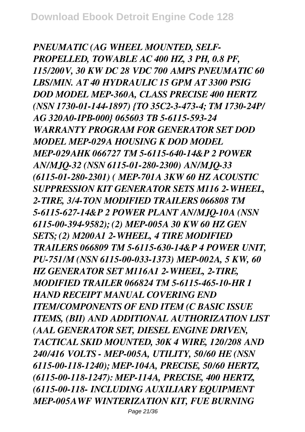*PNEUMATIC (AG WHEEL MOUNTED, SELF-PROPELLED, TOWABLE AC 400 HZ, 3 PH, 0.8 PF, 115/200V, 30 KW DC 28 VDC 700 AMPS PNEUMATIC 60 LBS/MIN. AT 40 HYDRAULIC 15 GPM AT 3300 PSIG DOD MODEL MEP-360A, CLASS PRECISE 400 HERTZ (NSN 1730-01-144-1897) {TO 35C2-3-473-4; TM 1730-24P/ AG 320A0-IPB-000} 065603 TB 5-6115-593-24 WARRANTY PROGRAM FOR GENERATOR SET DOD MODEL MEP-029A HOUSING K DOD MODEL MEP-029AHK 066727 TM 5-6115-640-14&P 2 POWER AN/MJQ-32 (NSN 6115-01-280-2300) AN/MJQ-33 (6115-01-280-2301) ( MEP-701A 3KW 60 HZ ACOUSTIC SUPPRESSION KIT GENERATOR SETS M116 2-WHEEL, 2-TIRE, 3/4-TON MODIFIED TRAILERS 066808 TM 5-6115-627-14&P 2 POWER PLANT AN/MJQ-10A (NSN 6115-00-394-9582); (2) MEP-005A 30 KW 60 HZ GEN SETS; (2) M200A1 2-WHEEL, 4 TIRE MODIFIED TRAILERS 066809 TM 5-6115-630-14&P 4 POWER UNIT, PU-751/M (NSN 6115-00-033-1373) MEP-002A, 5 KW, 60 HZ GENERATOR SET M116A1 2-WHEEL, 2-TIRE, MODIFIED TRAILER 066824 TM 5-6115-465-10-HR 1 HAND RECEIPT MANUAL COVERING END ITEM/COMPONENTS OF END ITEM (C BASIC ISSUE ITEMS, (BII) AND ADDITIONAL AUTHORIZATION LIST (AAL GENERATOR SET, DIESEL ENGINE DRIVEN, TACTICAL SKID MOUNTED, 30K 4 WIRE, 120/208 AND 240/416 VOLTS - MEP-005A, UTILITY, 50/60 HE (NSN 6115-00-118-1240); MEP-104A, PRECISE, 50/60 HERTZ, (6115-00-118-1247): MEP-114A, PRECISE, 400 HERTZ, (6115-00-118- INCLUDING AUXILIARY EQUIPMENT MEP-005AWF WINTERIZATION KIT, FUE BURNING*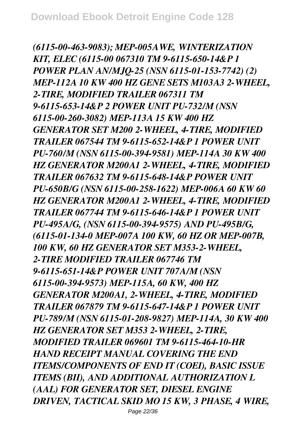*(6115-00-463-9083); MEP-005AWE, WINTERIZATION KIT, ELEC (6115-00 067310 TM 9-6115-650-14&P 1 POWER PLAN AN/MJQ-25 (NSN 6115-01-153-7742) (2) MEP-112A 10 KW 400 HZ GENE SETS M103A3 2-WHEEL, 2-TIRE, MODIFIED TRAILER 067311 TM 9-6115-653-14&P 2 POWER UNIT PU-732/M (NSN 6115-00-260-3082) MEP-113A 15 KW 400 HZ GENERATOR SET M200 2-WHEEL, 4-TIRE, MODIFIED TRAILER 067544 TM 9-6115-652-14&P 1 POWER UNIT PU-760/M (NSN 6115-00-394-9581) MEP-114A 30 KW 400 HZ GENERATOR M200A1 2-WHEEL, 4-TIRE, MODIFIED TRAILER 067632 TM 9-6115-648-14&P POWER UNIT PU-650B/G (NSN 6115-00-258-1622) MEP-006A 60 KW 60 HZ GENERATOR M200A1 2-WHEEL, 4-TIRE, MODIFIED TRAILER 067744 TM 9-6115-646-14&P 1 POWER UNIT PU-495A/G, (NSN 6115-00-394-9575) AND PU-495B/G, (6115-01-134-0 MEP-007A 100 KW, 60 HZ OR MEP-007B, 100 KW, 60 HZ GENERATOR SET M353-2-WHEEL, 2-TIRE MODIFIED TRAILER 067746 TM 9-6115-651-14&P POWER UNIT 707A/M (NSN 6115-00-394-9573) MEP-115A, 60 KW, 400 HZ GENERATOR M200A1, 2-WHEEL, 4-TIRE, MODIFIED TRAILER 067879 TM 9-6115-647-14&P 1 POWER UNIT PU-789/M (NSN 6115-01-208-9827) MEP-114A, 30 KW 400 HZ GENERATOR SET M353 2-WHEEL, 2-TIRE, MODIFIED TRAILER 069601 TM 9-6115-464-10-HR HAND RECEIPT MANUAL COVERING THE END ITEMS/COMPONENTS OF END IT (COEI), BASIC ISSUE ITEMS (BII), AND ADDITIONAL AUTHORIZATION L (AAL) FOR GENERATOR SET, DIESEL ENGINE DRIVEN, TACTICAL SKID MO 15 KW, 3 PHASE, 4 WIRE,*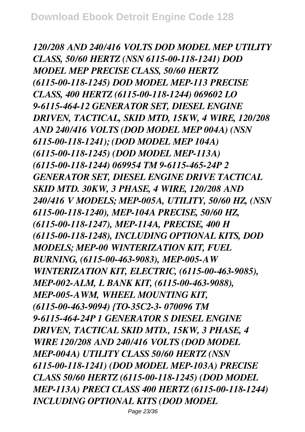*120/208 AND 240/416 VOLTS DOD MODEL MEP UTILITY CLASS, 50/60 HERTZ (NSN 6115-00-118-1241) DOD MODEL MEP PRECISE CLASS, 50/60 HERTZ (6115-00-118-1245) DOD MODEL MEP-113 PRECISE CLASS, 400 HERTZ (6115-00-118-1244) 069602 LO 9-6115-464-12 GENERATOR SET, DIESEL ENGINE DRIVEN, TACTICAL, SKID MTD, 15KW, 4 WIRE, 120/208 AND 240/416 VOLTS (DOD MODEL MEP 004A) (NSN 6115-00-118-1241); (DOD MODEL MEP 104A) (6115-00-118-1245) (DOD MODEL MEP-113A) (6115-00-118-1244) 069954 TM 9-6115-465-24P 2 GENERATOR SET, DIESEL ENGINE DRIVE TACTICAL SKID MTD. 30KW, 3 PHASE, 4 WIRE, 120/208 AND 240/416 V MODELS; MEP-005A, UTILITY, 50/60 HZ, (NSN 6115-00-118-1240), MEP-104A PRECISE, 50/60 HZ, (6115-00-118-1247), MEP-114A, PRECISE, 400 H (6115-00-118-1248), INCLUDING OPTIONAL KITS, DOD MODELS; MEP-00 WINTERIZATION KIT, FUEL BURNING, (6115-00-463-9083), MEP-005-AW WINTERIZATION KIT, ELECTRIC, (6115-00-463-9085), MEP-002-ALM, L BANK KIT, (6115-00-463-9088), MEP-005-AWM, WHEEL MOUNTING KIT, (6115-00-463-9094) {TO-35C2-3- 070096 TM 9-6115-464-24P 1 GENERATOR S DIESEL ENGINE DRIVEN, TACTICAL SKID MTD., 15KW, 3 PHASE, 4 WIRE 120/208 AND 240/416 VOLTS (DOD MODEL MEP-004A) UTILITY CLASS 50/60 HERTZ (NSN 6115-00-118-1241) (DOD MODEL MEP-103A) PRECISE CLASS 50/60 HERTZ (6115-00-118-1245) (DOD MODEL MEP-113A) PRECI CLASS 400 HERTZ (6115-00-118-1244) INCLUDING OPTIONAL KITS (DOD MODEL*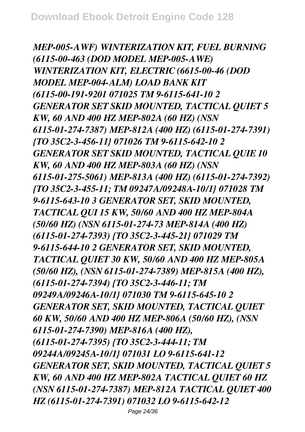*MEP-005-AWF) WINTERIZATION KIT, FUEL BURNING (6115-00-463 (DOD MODEL MEP-005-AWE) WINTERIZATION KIT, ELECTRIC (6615-00-46 (DOD MODEL MEP-004-ALM) LOAD BANK KIT (6115-00-191-9201 071025 TM 9-6115-641-10 2 GENERATOR SET SKID MOUNTED, TACTICAL QUIET 5 KW, 60 AND 400 HZ MEP-802A (60 HZ) (NSN 6115-01-274-7387) MEP-812A (400 HZ) (6115-01-274-7391) {TO 35C2-3-456-11} 071026 TM 9-6115-642-10 2 GENERATOR SET SKID MOUNTED, TACTICAL QUIE 10 KW, 60 AND 400 HZ MEP-803A (60 HZ) (NSN 6115-01-275-5061) MEP-813A (400 HZ) (6115-01-274-7392) {TO 35C2-3-455-11; TM 09247A/09248A-10/1} 071028 TM 9-6115-643-10 3 GENERATOR SET, SKID MOUNTED, TACTICAL QUI 15 KW, 50/60 AND 400 HZ MEP-804A (50/60 HZ) (NSN 6115-01-274-73 MEP-814A (400 HZ) (6115-01-274-7393) {TO 35C2-3-445-21} 071029 TM 9-6115-644-10 2 GENERATOR SET, SKID MOUNTED, TACTICAL QUIET 30 KW, 50/60 AND 400 HZ MEP-805A (50/60 HZ), (NSN 6115-01-274-7389) MEP-815A (400 HZ), (6115-01-274-7394) {TO 35C2-3-446-11; TM 09249A/09246A-10/1} 071030 TM 9-6115-645-10 2 GENERATOR SET, SKID MOUNTED, TACTICAL QUIET 60 KW, 50/60 AND 400 HZ MEP-806A (50/60 HZ), (NSN 6115-01-274-7390) MEP-816A (400 HZ), (6115-01-274-7395) {TO 35C2-3-444-11; TM 09244A/09245A-10/1} 071031 LO 9-6115-641-12 GENERATOR SET, SKID MOUNTED, TACTICAL QUIET 5 KW, 60 AND 400 HZ MEP-802A TACTICAL QUIET 60 HZ (NSN 6115-01-274-7387) MEP-812A TACTICAL QUIET 400 HZ (6115-01-274-7391) 071032 LO 9-6115-642-12*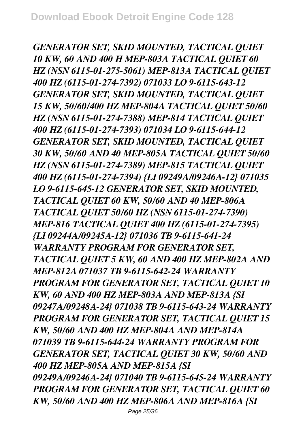*GENERATOR SET, SKID MOUNTED, TACTICAL QUIET 10 KW, 60 AND 400 H MEP-803A TACTICAL QUIET 60 HZ (NSN 6115-01-275-5061) MEP-813A TACTICAL QUIET 400 HZ (6115-01-274-7392) 071033 LO 9-6115-643-12 GENERATOR SET, SKID MOUNTED, TACTICAL QUIET 15 KW, 50/60/400 HZ MEP-804A TACTICAL QUIET 50/60 HZ (NSN 6115-01-274-7388) MEP-814 TACTICAL QUIET 400 HZ (6115-01-274-7393) 071034 LO 9-6115-644-12 GENERATOR SET, SKID MOUNTED, TACTICAL QUIET 30 KW, 50/60 AND 40 MEP-805A TACTICAL QUIET 50/60 HZ (NSN 6115-01-274-7389) MEP-815 TACTICAL QUIET 400 HZ (6115-01-274-7394) {LI 09249A/09246A-12} 071035 LO 9-6115-645-12 GENERATOR SET, SKID MOUNTED, TACTICAL QUIET 60 KW, 50/60 AND 40 MEP-806A TACTICAL QUIET 50/60 HZ (NSN 6115-01-274-7390) MEP-816 TACTICAL QUIET 400 HZ (6115-01-274-7395) {LI 09244A/09245A-12} 071036 TB 9-6115-641-24 WARRANTY PROGRAM FOR GENERATOR SET, TACTICAL QUIET 5 KW, 60 AND 400 HZ MEP-802A AND MEP-812A 071037 TB 9-6115-642-24 WARRANTY PROGRAM FOR GENERATOR SET, TACTICAL QUIET 10 KW, 60 AND 400 HZ MEP-803A AND MEP-813A {SI 09247A/09248A-24} 071038 TB 9-6115-643-24 WARRANTY PROGRAM FOR GENERATOR SET, TACTICAL QUIET 15 KW, 50/60 AND 400 HZ MEP-804A AND MEP-814A 071039 TB 9-6115-644-24 WARRANTY PROGRAM FOR GENERATOR SET, TACTICAL QUIET 30 KW, 50/60 AND 400 HZ MEP-805A AND MEP-815A {SI 09249A/09246A-24} 071040 TB 9-6115-645-24 WARRANTY PROGRAM FOR GENERATOR SET, TACTICAL QUIET 60 KW, 50/60 AND 400 HZ MEP-806A AND MEP-816A {SI*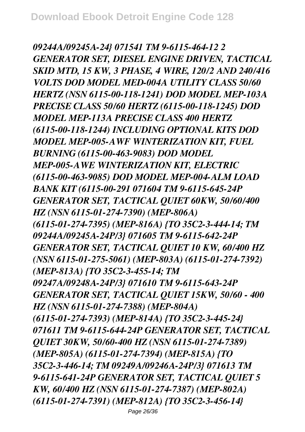*09244A/09245A-24} 071541 TM 9-6115-464-12 2 GENERATOR SET, DIESEL ENGINE DRIVEN, TACTICAL SKID MTD, 15 KW, 3 PHASE, 4 WIRE, 120/2 AND 240/416 VOLTS DOD MODEL MED-004A UTILITY CLASS 50/60 HERTZ (NSN 6115-00-118-1241) DOD MODEL MEP-103A PRECISE CLASS 50/60 HERTZ (6115-00-118-1245) DOD MODEL MEP-113A PRECISE CLASS 400 HERTZ (6115-00-118-1244) INCLUDING OPTIONAL KITS DOD MODEL MEP-005-AWF WINTERIZATION KIT, FUEL BURNING (6115-00-463-9083) DOD MODEL MEP-005-AWE WINTERIZATION KIT, ELECTRIC (6115-00-463-9085) DOD MODEL MEP-004-ALM LOAD BANK KIT (6115-00-291 071604 TM 9-6115-645-24P GENERATOR SET, TACTICAL QUIET 60KW, 50/60/400 HZ (NSN 6115-01-274-7390) (MEP-806A) (6115-01-274-7395) (MEP-816A) {TO 35C2-3-444-14; TM 09244A/09245A-24P/3} 071605 TM 9-6115-642-24P GENERATOR SET, TACTICAL QUIET 10 KW, 60/400 HZ (NSN 6115-01-275-5061) (MEP-803A) (6115-01-274-7392) (MEP-813A) {TO 35C2-3-455-14; TM 09247A/09248A-24P/3} 071610 TM 9-6115-643-24P GENERATOR SET, TACTICAL QUIET 15KW, 50/60 - 400 HZ (NSN 6115-01-274-7388) (MEP-804A) (6115-01-274-7393) (MEP-814A) {TO 35C2-3-445-24} 071611 TM 9-6115-644-24P GENERATOR SET, TACTICAL QUIET 30KW, 50/60-400 HZ (NSN 6115-01-274-7389) (MEP-805A) (6115-01-274-7394) (MEP-815A) {TO 35C2-3-446-14; TM 09249A/09246A-24P/3} 071613 TM 9-6115-641-24P GENERATOR SET, TACTICAL QUIET 5 KW, 60/400 HZ (NSN 6115-01-274-7387) (MEP-802A) (6115-01-274-7391) (MEP-812A) {TO 35C2-3-456-14}*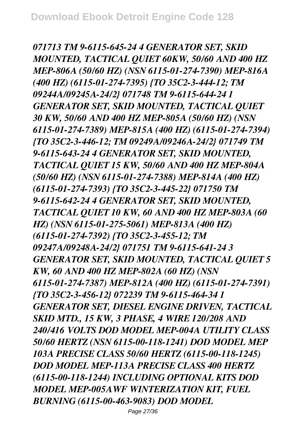*071713 TM 9-6115-645-24 4 GENERATOR SET, SKID MOUNTED, TACTICAL QUIET 60KW, 50/60 AND 400 HZ MEP-806A (50/60 HZ) (NSN 6115-01-274-7390) MEP-816A (400 HZ) (6115-01-274-7395) {TO 35C2-3-444-12; TM 09244A/09245A-24/2} 071748 TM 9-6115-644-24 1 GENERATOR SET, SKID MOUNTED, TACTICAL QUIET 30 KW, 50/60 AND 400 HZ MEP-805A (50/60 HZ) (NSN 6115-01-274-7389) MEP-815A (400 HZ) (6115-01-274-7394) {TO 35C2-3-446-12; TM 09249A/09246A-24/2} 071749 TM 9-6115-643-24 4 GENERATOR SET, SKID MOUNTED, TACTICAL QUIET 15 KW, 50/60 AND 400 HZ MEP-804A (50/60 HZ) (NSN 6115-01-274-7388) MEP-814A (400 HZ) (6115-01-274-7393) {TO 35C2-3-445-22} 071750 TM 9-6115-642-24 4 GENERATOR SET, SKID MOUNTED, TACTICAL QUIET 10 KW, 60 AND 400 HZ MEP-803A (60 HZ) (NSN 6115-01-275-5061) MEP-813A (400 HZ) (6115-01-274-7392) {TO 35C2-3-455-12; TM 09247A/09248A-24/2} 071751 TM 9-6115-641-24 3 GENERATOR SET, SKID MOUNTED, TACTICAL QUIET 5 KW, 60 AND 400 HZ MEP-802A (60 HZ) (NSN 6115-01-274-7387) MEP-812A (400 HZ) (6115-01-274-7391) {TO 35C2-3-456-12} 072239 TM 9-6115-464-34 1 GENERATOR SET, DIESEL ENGINE DRIVEN, TACTICAL SKID MTD., 15 KW, 3 PHASE, 4 WIRE 120/208 AND 240/416 VOLTS DOD MODEL MEP-004A UTILITY CLASS 50/60 HERTZ (NSN 6115-00-118-1241) DOD MODEL MEP 103A PRECISE CLASS 50/60 HERTZ (6115-00-118-1245) DOD MODEL MEP-113A PRECISE CLASS 400 HERTZ (6115-00-118-1244) INCLUDING OPTIONAL KITS DOD MODEL MEP-005AWF WINTERIZATION KIT, FUEL BURNING (6115-00-463-9083) DOD MODEL*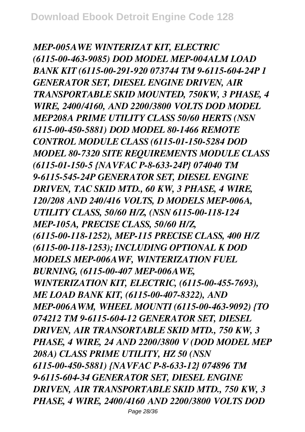*MEP-005AWE WINTERIZAT KIT, ELECTRIC (6115-00-463-9085) DOD MODEL MEP-004ALM LOAD BANK KIT (6115-00-291-920 073744 TM 9-6115-604-24P 1 GENERATOR SET, DIESEL ENGINE DRIVEN, AIR TRANSPORTABLE SKID MOUNTED, 750KW, 3 PHASE, 4 WIRE, 2400/4160, AND 2200/3800 VOLTS DOD MODEL MEP208A PRIME UTILITY CLASS 50/60 HERTS (NSN 6115-00-450-5881) DOD MODEL 80-1466 REMOTE CONTROL MODULE CLASS (6115-01-150-5284 DOD MODEL 80-7320 SITE REQUIREMENTS MODULE CLASS (6115-01-150-5 {NAVFAC P-8-633-24P} 074040 TM 9-6115-545-24P GENERATOR SET, DIESEL ENGINE DRIVEN, TAC SKID MTD., 60 KW, 3 PHASE, 4 WIRE, 120/208 AND 240/416 VOLTS, D MODELS MEP-006A, UTILITY CLASS, 50/60 H/Z, (NSN 6115-00-118-124 MEP-105A, PRECISE CLASS, 50/60 H/Z, (6115-00-118-1252), MEP-115 PRECISE CLASS, 400 H/Z (6115-00-118-1253); INCLUDING OPTIONAL K DOD MODELS MEP-006AWF, WINTERIZATION FUEL BURNING, (6115-00-407 MEP-006AWE, WINTERIZATION KIT, ELECTRIC, (6115-00-455-7693), ME LOAD BANK KIT, (6115-00-407-8322), AND MEP-006AWM, WHEEL MOUNTI (6115-00-463-9092) {TO 074212 TM 9-6115-604-12 GENERATOR SET, DIESEL DRIVEN, AIR TRANSORTABLE SKID MTD., 750 KW, 3 PHASE, 4 WIRE, 24 AND 2200/3800 V (DOD MODEL MEP 208A) CLASS PRIME UTILITY, HZ 50 (NSN 6115-00-450-5881) {NAVFAC P-8-633-12} 074896 TM 9-6115-604-34 GENERATOR SET, DIESEL ENGINE DRIVEN, AIR TRANSPORTABLE SKID MTD., 750 KW, 3 PHASE, 4 WIRE, 2400/4160 AND 2200/3800 VOLTS DOD*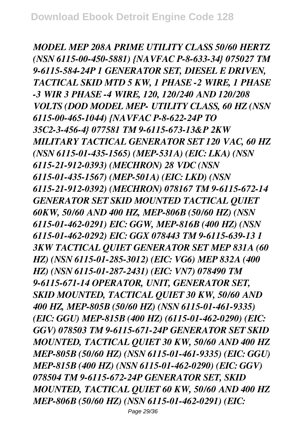*MODEL MEP 208A PRIME UTILITY CLASS 50/60 HERTZ (NSN 6115-00-450-5881) {NAVFAC P-8-633-34} 075027 TM 9-6115-584-24P 1 GENERATOR SET, DIESEL E DRIVEN, TACTICAL SKID MTD 5 KW, 1 PHASE -2 WIRE, 1 PHASE -3 WIR 3 PHASE -4 WIRE, 120, 120/240 AND 120/208 VOLTS (DOD MODEL MEP- UTILITY CLASS, 60 HZ (NSN 6115-00-465-1044) {NAVFAC P-8-622-24P TO 35C2-3-456-4} 077581 TM 9-6115-673-13&P 2KW MILITARY TACTICAL GENERATOR SET 120 VAC, 60 HZ (NSN 6115-01-435-1565) (MEP-531A) (EIC: LKA) (NSN 6115-21-912-0393) (MECHRON) 28 VDC (NSN 6115-01-435-1567) (MEP-501A) (EIC: LKD) (NSN 6115-21-912-0392) (MECHRON) 078167 TM 9-6115-672-14 GENERATOR SET SKID MOUNTED TACTICAL QUIET 60KW, 50/60 AND 400 HZ, MEP-806B (50/60 HZ) (NSN 6115-01-462-0291) EIC: GGW, MEP-816B (400 HZ) (NSN 6115-01-462-0292) EIC: GGX 078443 TM 9-6115-639-13 1 3KW TACTICAL QUIET GENERATOR SET MEP 831A (60 HZ) (NSN 6115-01-285-3012) (EIC: VG6) MEP 832A (400 HZ) (NSN 6115-01-287-2431) (EIC: VN7) 078490 TM 9-6115-671-14 OPERATOR, UNIT, GENERATOR SET, SKID MOUNTED, TACTICAL QUIET 30 KW, 50/60 AND 400 HZ, MEP-805B (50/60 HZ) (NSN 6115-01-461-9335) (EIC: GGU) MEP-815B (400 HZ) (6115-01-462-0290) (EIC: GGV) 078503 TM 9-6115-671-24P GENERATOR SET SKID MOUNTED, TACTICAL QUIET 30 KW, 50/60 AND 400 HZ MEP-805B (50/60 HZ) (NSN 6115-01-461-9335) (EIC: GGU) MEP-815B (400 HZ) (NSN 6115-01-462-0290) (EIC: GGV) 078504 TM 9-6115-672-24P GENERATOR SET, SKID MOUNTED, TACTICAL QUIET 60 KW, 50/60 AND 400 HZ MEP-806B (50/60 HZ) (NSN 6115-01-462-0291) (EIC:*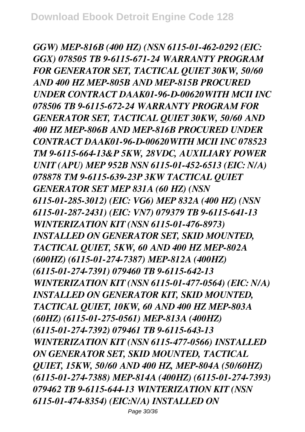*GGW) MEP-816B (400 HZ) (NSN 6115-01-462-0292 (EIC: GGX) 078505 TB 9-6115-671-24 WARRANTY PROGRAM FOR GENERATOR SET, TACTICAL QUIET 30KW, 50/60 AND 400 HZ MEP-805B AND MEP-815B PROCURED UNDER CONTRACT DAAK01-96-D-00620WITH MCII INC 078506 TB 9-6115-672-24 WARRANTY PROGRAM FOR GENERATOR SET, TACTICAL QUIET 30KW, 50/60 AND 400 HZ MEP-806B AND MEP-816B PROCURED UNDER CONTRACT DAAK01-96-D-00620WITH MCII INC 078523 TM 9-6115-664-13&P 5KW, 28VDC, AUXILIARY POWER UNIT (APU) MEP 952B NSN 6115-01-452-6513 (EIC: N/A) 078878 TM 9-6115-639-23P 3KW TACTICAL QUIET GENERATOR SET MEP 831A (60 HZ) (NSN 6115-01-285-3012) (EIC: VG6) MEP 832A (400 HZ) (NSN 6115-01-287-2431) (EIC: VN7) 079379 TB 9-6115-641-13 WINTERIZATION KIT (NSN 6115-01-476-8973) INSTALLED ON GENERATOR SET, SKID MOUNTED, TACTICAL QUIET, 5KW, 60 AND 400 HZ MEP-802A (600HZ) (6115-01-274-7387) MEP-812A (400HZ) (6115-01-274-7391) 079460 TB 9-6115-642-13 WINTERIZATION KIT (NSN 6115-01-477-0564) (EIC: N/A) INSTALLED ON GENERATOR KIT, SKID MOUNTED, TACTICAL QUIET, 10KW, 60 AND 400 HZ MEP-803A (60HZ) (6115-01-275-0561) MEP-813A (400HZ) (6115-01-274-7392) 079461 TB 9-6115-643-13 WINTERIZATION KIT (NSN 6115-477-0566) INSTALLED ON GENERATOR SET, SKID MOUNTED, TACTICAL QUIET, 15KW, 50/60 AND 400 HZ, MEP-804A (50/60HZ) (6115-01-274-7388) MEP-814A (400HZ) (6115-01-274-7393) 079462 TB 9-6115-644-13 WINTERIZATION KIT (NSN 6115-01-474-8354) (EIC:N/A) INSTALLED ON*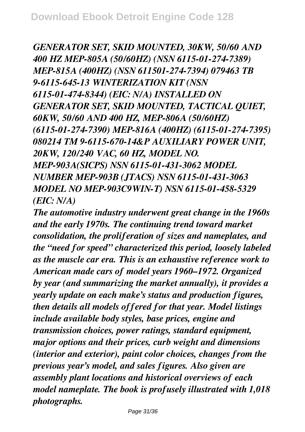*GENERATOR SET, SKID MOUNTED, 30KW, 50/60 AND 400 HZ MEP-805A (50/60HZ) (NSN 6115-01-274-7389) MEP-815A (400HZ) (NSN 611501-274-7394) 079463 TB 9-6115-645-13 WINTERIZATION KIT (NSN 6115-01-474-8344) (EIC: N/A) INSTALLED ON GENERATOR SET, SKID MOUNTED, TACTICAL QUIET, 60KW, 50/60 AND 400 HZ, MEP-806A (50/60HZ) (6115-01-274-7390) MEP-816A (400HZ) (6115-01-274-7395) 080214 TM 9-6115-670-14&P AUXILIARY POWER UNIT, 20KW, 120/240 VAC, 60 HZ, MODEL NO. MEP-903A(SICPS) NSN 6115-01-431-3062 MODEL NUMBER MEP-903B (JTACS) NSN 6115-01-431-3063 MODEL NO MEP-903C9WIN-T) NSN 6115-01-458-5329 (EIC: N/A)*

*The automotive industry underwent great change in the 1960s and the early 1970s. The continuing trend toward market consolidation, the proliferation of sizes and nameplates, and the "need for speed" characterized this period, loosely labeled as the muscle car era. This is an exhaustive reference work to American made cars of model years 1960–1972. Organized by year (and summarizing the market annually), it provides a yearly update on each make's status and production figures, then details all models offered for that year. Model listings include available body styles, base prices, engine and transmission choices, power ratings, standard equipment, major options and their prices, curb weight and dimensions (interior and exterior), paint color choices, changes from the previous year's model, and sales figures. Also given are assembly plant locations and historical overviews of each model nameplate. The book is profusely illustrated with 1,018 photographs.*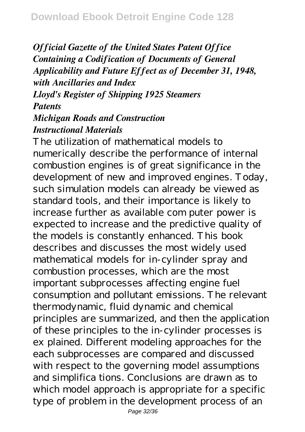*Official Gazette of the United States Patent Office Containing a Codification of Documents of General Applicability and Future Effect as of December 31, 1948, with Ancillaries and Index Lloyd's Register of Shipping 1925 Steamers Patents Michigan Roads and Construction*

## *Instructional Materials*

The utilization of mathematical models to numerically describe the performance of internal combustion engines is of great significance in the development of new and improved engines. Today, such simulation models can already be viewed as standard tools, and their importance is likely to increase further as available com puter power is expected to increase and the predictive quality of the models is constantly enhanced. This book describes and discusses the most widely used mathematical models for in-cylinder spray and combustion processes, which are the most important subprocesses affecting engine fuel consumption and pollutant emissions. The relevant thermodynamic, fluid dynamic and chemical principles are summarized, and then the application of these principles to the in-cylinder processes is ex plained. Different modeling approaches for the each subprocesses are compared and discussed with respect to the governing model assumptions and simplifica tions. Conclusions are drawn as to which model approach is appropriate for a specific type of problem in the development process of an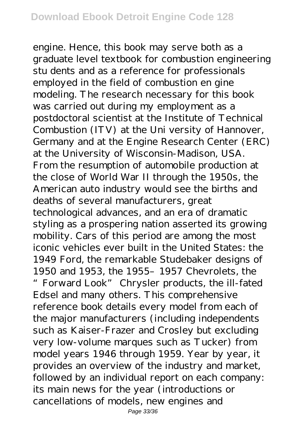engine. Hence, this book may serve both as a graduate level textbook for combustion engineering stu dents and as a reference for professionals employed in the field of combustion en gine modeling. The research necessary for this book was carried out during my employment as a postdoctoral scientist at the Institute of Technical Combustion (ITV) at the Uni versity of Hannover, Germany and at the Engine Research Center (ERC) at the University of Wisconsin-Madison, USA. From the resumption of automobile production at the close of World War II through the 1950s, the American auto industry would see the births and deaths of several manufacturers, great technological advances, and an era of dramatic styling as a prospering nation asserted its growing mobility. Cars of this period are among the most iconic vehicles ever built in the United States: the 1949 Ford, the remarkable Studebaker designs of 1950 and 1953, the 1955–1957 Chevrolets, the "Forward Look" Chrysler products, the ill-fated Edsel and many others. This comprehensive reference book details every model from each of the major manufacturers (including independents such as Kaiser-Frazer and Crosley but excluding very low-volume marques such as Tucker) from model years 1946 through 1959. Year by year, it provides an overview of the industry and market, followed by an individual report on each company: its main news for the year (introductions or cancellations of models, new engines and

Page 33/36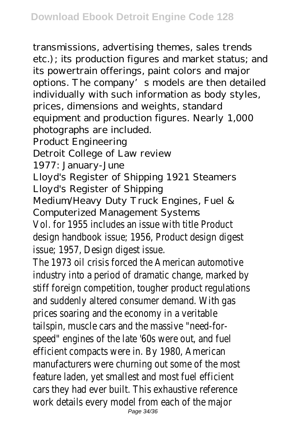transmissions, advertising themes, sales trends etc.); its production figures and market status; and its powertrain offerings, paint colors and major options. The company's models are then detailed individually with such information as body styles, prices, dimensions and weights, standard equipment and production figures. Nearly 1,000 photographs are included. Product Engineering Detroit College of Law review 1977: January-June Lloyd's Register of Shipping 1921 Steamers Lloyd's Register of Shipping Medium/Heavy Duty Truck Engines, Fuel & Computerized Management Systems Vol. for 1955 includes an issue with title Product design handbook issue; 1956, Product design digest issue; 1957, Design digest issue. The 1973 oil crisis forced the American automotive industry into a period of dramatic change, marked by stiff foreign competition, tougher product regulations and suddenly altered consumer demand. With gas prices soaring and the economy in a veritable tailspin, muscle cars and the massive "need-forspeed" engines of the late '60s were out, and fuel efficient compacts were in. By 1980, American manufacturers were churning out some of the most feature laden, yet smallest and most fuel efficient cars they had ever built. This exhaustive reference work details every model from each of the major Page 34/36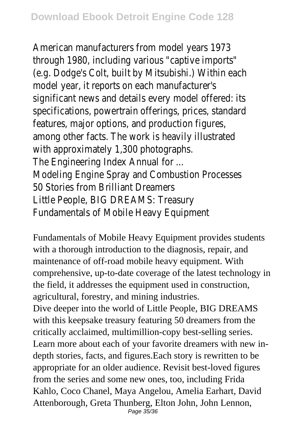American manufacturers from model years 1973 through 1980, including various "captive imports" (e.g. Dodge's Colt, built by Mitsubishi.) Within each model year, it reports on each manufacturer's significant news and details every model offered: its specifications, powertrain offerings, prices, standard features, major options, and production figures, among other facts. The work is heavily illustrated with approximately 1,300 photographs. The Engineering Index Annual for ... Modeling Engine Spray and Combustion Processes 50 Stories from Brilliant Dreamers Little People, BIG DREAMS: Treasury Fundamentals of Mobile Heavy Equipment

Fundamentals of Mobile Heavy Equipment provides students with a thorough introduction to the diagnosis, repair, and maintenance of off-road mobile heavy equipment. With comprehensive, up-to-date coverage of the latest technology in the field, it addresses the equipment used in construction, agricultural, forestry, and mining industries.

Dive deeper into the world of Little People, BIG DREAMS with this keepsake treasury featuring 50 dreamers from the critically acclaimed, multimillion-copy best-selling series. Learn more about each of your favorite dreamers with new indepth stories, facts, and figures.Each story is rewritten to be appropriate for an older audience. Revisit best-loved figures from the series and some new ones, too, including Frida Kahlo, Coco Chanel, Maya Angelou, Amelia Earhart, David Attenborough, Greta Thunberg, Elton John, John Lennon, Page 35/36